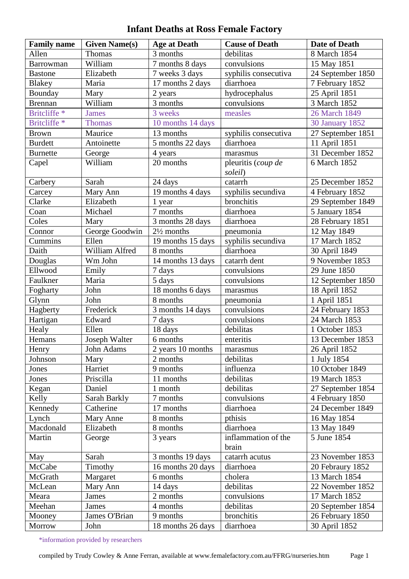## **Infant Deaths at Ross Female Factory**

| <b>Family name</b> | <b>Given Name(s)</b> | <b>Age at Death</b>   | <b>Cause of Death</b>         | <b>Date of Death</b>   |
|--------------------|----------------------|-----------------------|-------------------------------|------------------------|
| Allen              | <b>Thomas</b>        | 3 months              | debilitas                     | 8 March 1854           |
| Barrowman          | William              | 7 months 8 days       | convulsions                   | 15 May 1851            |
| <b>Bastone</b>     | Elizabeth            | 7 weeks 3 days        | syphilis consecutiva          | 24 September 1850      |
| Blakey             | Maria                | 17 months 2 days      | diarrhoea                     | 7 February 1852        |
| Bounday            | Mary                 | 2 years               | hydrocephalus                 | 25 April 1851          |
| <b>Brennan</b>     | William              | 3 months              | convulsions                   | 3 March 1852           |
| Britcliffe *       | <b>James</b>         | 3 weeks               | measles                       | 26 March 1849          |
| Britcliffe *       | <b>Thomas</b>        | 10 months 14 days     |                               | <b>30 January 1852</b> |
| <b>Brown</b>       | Maurice              | 13 months             | syphilis consecutiva          | 27 September 1851      |
| <b>Burdett</b>     | Antoinette           | 5 months 22 days      | diarrhoea                     | 11 April 1851          |
| <b>Burnette</b>    | George               | 4 years               | marasmus                      | 31 December 1852       |
| Capel              | William              | 20 months             | pleuritis (coup de<br>soleil) | 6 March 1852           |
| Carbery            | Sarah                | 24 days               | catarrh                       | 25 December 1852       |
| Carcey             | Mary Ann             | 19 months 4 days      | syphilis secundiva            | 4 February 1852        |
| Clarke             | Elizabeth            | 1 year                | bronchitis                    | 29 September 1849      |
| Coan               | Michael              | 7 months              | diarrhoea                     | 5 January 1854         |
| Coles              | Mary                 | 3 months 28 days      | diarrhoea                     | 28 February 1851       |
| Connor             | George Goodwin       | $2\frac{1}{2}$ months | pneumonia                     | 12 May 1849            |
| Cummins            | Ellen                | 19 months 15 days     | syphilis secundiva            | 17 March 1852          |
| Daith              | William Alfred       | 8 months              | diarrhoea                     | 30 April 1849          |
| Douglas            | Wm John              | 14 months 13 days     | catarrh dent                  | 9 November 1853        |
| Ellwood            | Emily                | 7 days                | convulsions                   | 29 June 1850           |
| Faulkner           | Maria                | 5 days                | convulsions                   | 12 September 1850      |
| Fogharty           | John                 | 18 months 6 days      | marasmus                      | 18 April 1852          |
| Glynn              | John                 | 8 months              | pneumonia                     | 1 April 1851           |
| Hagberty           | Frederick            | 3 months 14 days      | convulsions                   | 24 February 1853       |
| Hartigan           | Edward               | 7 days                | convulsions                   | 24 March 1853          |
| Healy              | Ellen                | 18 days               | debilitas                     | 1 October 1853         |
| Hemans             | Joseph Walter        | 6 months              | enteritis                     | 13 December 1853       |
| Henry              | John Adams           | 2 years 10 months     | marasmus                      | 26 April 1852          |
| Johnson            | Mary                 | 2 months              | debilitas                     | 1 July 1854            |
| Jones              | Harriet              | 9 months              | influenza                     | 10 October 1849        |
| Jones              | Priscilla            | 11 months             | debilitas                     | 19 March 1853          |
| Kegan              | Daniel               | 1 month               | debilitas                     | 27 September 1854      |
| Kelly              | Sarah Barkly         | 7 months              | convulsions                   | 4 February 1850        |
| Kennedy            | Catherine            | 17 months             | diarrhoea                     | 24 December 1849       |
| Lynch              | Mary Anne            | 8 months              | pthisis                       | 16 May 1854            |
| Macdonald          | Elizabeth            | 8 months              | diarrhoea                     | 13 May 1849            |
| Martin             | George               | 3 years               | inflammation of the<br>brain  | 5 June 1854            |
| May                | Sarah                | 3 months 19 days      | catarrh acutus                | 23 November 1853       |
| McCabe             | Timothy              | 16 months 20 days     | diarrhoea                     | 20 Febraury 1852       |
| McGrath            | Margaret             | 6 months              | cholera                       | 13 March 1854          |
| McLean             | Mary Ann             | 14 days               | debilitas                     | 22 November 1852       |
| Meara              | James                | 2 months              | convulsions                   | 17 March 1852          |
| Meehan             | James                | 4 months              | debilitas                     | 20 September 1854      |
| Mooney             | James O'Brian        | 9 months              | bronchitis                    | 26 February 1850       |
| Morrow             | John                 | 18 months 26 days     | diarrhoea                     | 30 April 1852          |

\*information provided by researchers